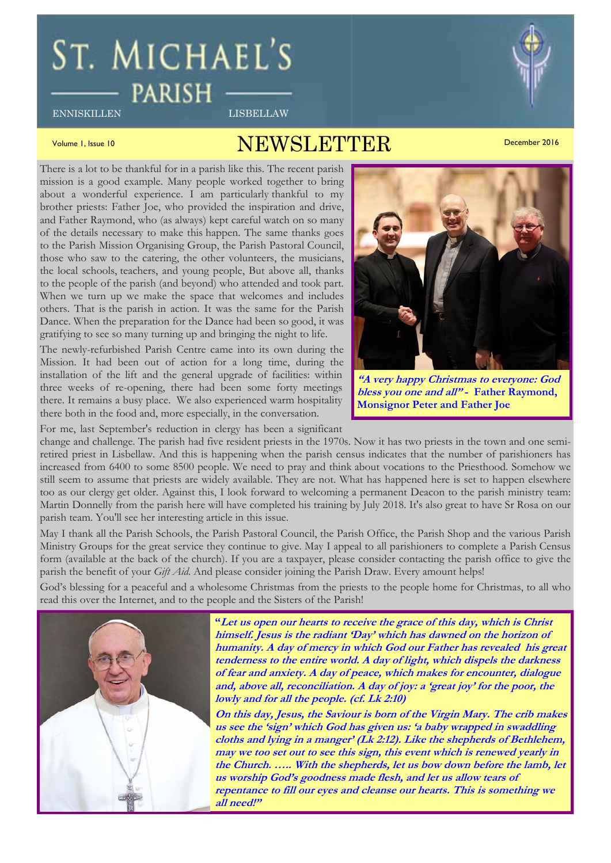# ST. MICHAEL'S **PARISH**

ENNISKILLEN LISBELLAW

# Volume 1, Issue 10  $N\textrm{EWSI}$  ,  $\textrm{FWSI}$  ,  $\textrm{FWSI}$  ,  $\textrm{FWRI}$  ,  $\textrm{FWRI}$  ,  $\textrm{FWSI}$  ,  $\textrm{FWSI}$  ,  $\textrm{FWRI}$  ,  $\textrm{FWSI}$  ,  $\textrm{FWSI}$  ,  $\textrm{FWSI}$  ,  $\textrm{FWSI}$  ,  $\textrm{FWSI}$  ,  $\textrm{FWSI}$  ,  $\textrm{FWSI}$  ,  $\textrm{FWSI}$  ,  $\textrm{FWSI}$

There is a lot to be thankful for in a parish like this. The recent parish mission is a good example. Many people worked together to bring about a wonderful experience. I am particularly thankful to my brother priests: Father Joe, who provided the inspiration and drive, and Father Raymond, who (as always) kept careful watch on so many of the details necessary to make this happen. The same thanks goes to the Parish Mission Organising Group, the Parish Pastoral Council, those who saw to the catering, the other volunteers, the musicians, the local schools, teachers, and young people, But above all, thanks to the people of the parish (and beyond) who attended and took part. When we turn up we make the space that welcomes and includes others. That is the parish in action. It was the same for the Parish Dance. When the preparation for the Dance had been so good, it was gratifying to see so many turning up and bringing the night to life.

The newly-refurbished Parish Centre came into its own during the Mission. It had been out of action for a long time, during the installation of the lift and the general upgrade of facilities: within three weeks of re-opening, there had been some forty meetings there. It remains a busy place. We also experienced warm hospitality there both in the food and, more especially, in the conversation.

For me, last September's reduction in clergy has been a significant

change and challenge. The parish had five resident priests in the 1970s. Now it has two priests in the town and one semiretired priest in Lisbellaw. And this is happening when the parish census indicates that the number of parishioners has increased from 6400 to some 8500 people. We need to pray and think about vocations to the Priesthood. Somehow we still seem to assume that priests are widely available. They are not. What has happened here is set to happen elsewhere too as our clergy get older. Against this, I look forward to welcoming a permanent Deacon to the parish ministry team: Martin Donnelly from the parish here will have completed his training by July 2018. It's also great to have Sr Rosa on our parish team. You'll see her interesting article in this issue.

May I thank all the Parish Schools, the Parish Pastoral Council, the Parish Office, the Parish Shop and the various Parish Ministry Groups for the great service they continue to give. May I appeal to all parishioners to complete a Parish Census form (available at the back of the church). If you are a taxpayer, please consider contacting the parish office to give the parish the benefit of your *Gift Aid*. And please consider joining the Parish Draw. Every amount helps!

God's blessing for a peaceful and a wholesome Christmas from the priests to the people home for Christmas, to all who read this over the Internet, and to the people and the Sisters of the Parish!



**"Let us open our hearts to receive the grace of this day, which is Christ himself. Jesus is the radiant 'Day' which has dawned on the horizon of humanity. A day of mercy in which God our Father has revealed his great tenderness to the entire world. A day of light, which dispels the darkness of fear and anxiety. A day of peace, which makes for encounter, dialogue and, above all, reconciliation. A day of joy: a 'great joy' for the poor, the lowly and for all the people. (cf. Lk 2:10)** 

**On this day, Jesus, the Saviour is born of the Virgin Mary. The crib makes us see the 'sign' which God has given us: 'a baby wrapped in swaddling cloths and lying in a manger' (Lk 2:12). Like the shepherds of Bethlehem, may we too set out to see this sign, this event which is renewed yearly in the Church. ….. With the shepherds, let us bow down before the lamb, let us worship God's goodness made flesh, and let us allow tears of repentance to fill our eyes and cleanse our hearts. This is something we all need!"** 



**"A very happy Christmas to everyone: God bless you one and all" - Father Raymond, Monsignor Peter and Father Joe**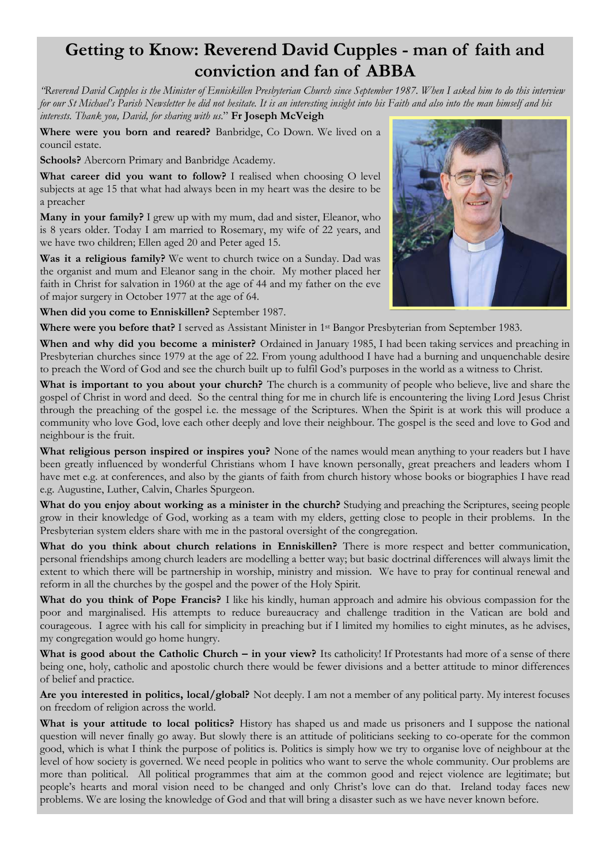# **Getting to Know: Reverend David Cupples - man of faith and conviction and fan of ABBA**

*"Reverend David Cupples is the Minister of Enniskillen Presbyterian Church since September 1987. When I asked him to do this interview for our St Michael's Parish Newsletter he did not hesitate. It is an interesting insight into his Faith and also into the man himself and his interests. Thank you, David, for sharing with us*." **Fr Joseph McVeigh**

**Where were you born and reared?** Banbridge, Co Down. We lived on a council estate.

**Schools?** Abercorn Primary and Banbridge Academy.

**What career did you want to follow?** I realised when choosing O level subjects at age 15 that what had always been in my heart was the desire to be a preacher

**Many in your family?** I grew up with my mum, dad and sister, Eleanor, who is 8 years older. Today I am married to Rosemary, my wife of 22 years, and we have two children; Ellen aged 20 and Peter aged 15.

**Was it a religious family?** We went to church twice on a Sunday. Dad was the organist and mum and Eleanor sang in the choir. My mother placed her faith in Christ for salvation in 1960 at the age of 44 and my father on the eve of major surgery in October 1977 at the age of 64.

**When did you come to Enniskillen?** September 1987.

**Where were you before that?** I served as Assistant Minister in 1st Bangor Presbyterian from September 1983.

**When and why did you become a minister?** Ordained in January 1985, I had been taking services and preaching in Presbyterian churches since 1979 at the age of 22. From young adulthood I have had a burning and unquenchable desire to preach the Word of God and see the church built up to fulfil God's purposes in the world as a witness to Christ.

**What is important to you about your church?** The church is a community of people who believe, live and share the gospel of Christ in word and deed. So the central thing for me in church life is encountering the living Lord Jesus Christ through the preaching of the gospel i.e. the message of the Scriptures. When the Spirit is at work this will produce a community who love God, love each other deeply and love their neighbour. The gospel is the seed and love to God and neighbour is the fruit.

**What religious person inspired or inspires you?** None of the names would mean anything to your readers but I have been greatly influenced by wonderful Christians whom I have known personally, great preachers and leaders whom I have met e.g. at conferences, and also by the giants of faith from church history whose books or biographies I have read e.g. Augustine, Luther, Calvin, Charles Spurgeon.

**What do you enjoy about working as a minister in the church?** Studying and preaching the Scriptures, seeing people grow in their knowledge of God, working as a team with my elders, getting close to people in their problems. In the Presbyterian system elders share with me in the pastoral oversight of the congregation.

What do you think about church relations in Enniskillen? There is more respect and better communication, personal friendships among church leaders are modelling a better way; but basic doctrinal differences will always limit the extent to which there will be partnership in worship, ministry and mission. We have to pray for continual renewal and reform in all the churches by the gospel and the power of the Holy Spirit.

**What do you think of Pope Francis?** I like his kindly, human approach and admire his obvious compassion for the poor and marginalised. His attempts to reduce bureaucracy and challenge tradition in the Vatican are bold and courageous. I agree with his call for simplicity in preaching but if I limited my homilies to eight minutes, as he advises, my congregation would go home hungry.

**What is good about the Catholic Church – in your view?** Its catholicity! If Protestants had more of a sense of there being one, holy, catholic and apostolic church there would be fewer divisions and a better attitude to minor differences of belief and practice.

**Are you interested in politics, local/global?** Not deeply. I am not a member of any political party. My interest focuses on freedom of religion across the world.

**What is your attitude to local politics?** History has shaped us and made us prisoners and I suppose the national question will never finally go away. But slowly there is an attitude of politicians seeking to co-operate for the common good, which is what I think the purpose of politics is. Politics is simply how we try to organise love of neighbour at the level of how society is governed. We need people in politics who want to serve the whole community. Our problems are more than political. All political programmes that aim at the common good and reject violence are legitimate; but people's hearts and moral vision need to be changed and only Christ's love can do that. Ireland today faces new problems. We are losing the knowledge of God and that will bring a disaster such as we have never known before.

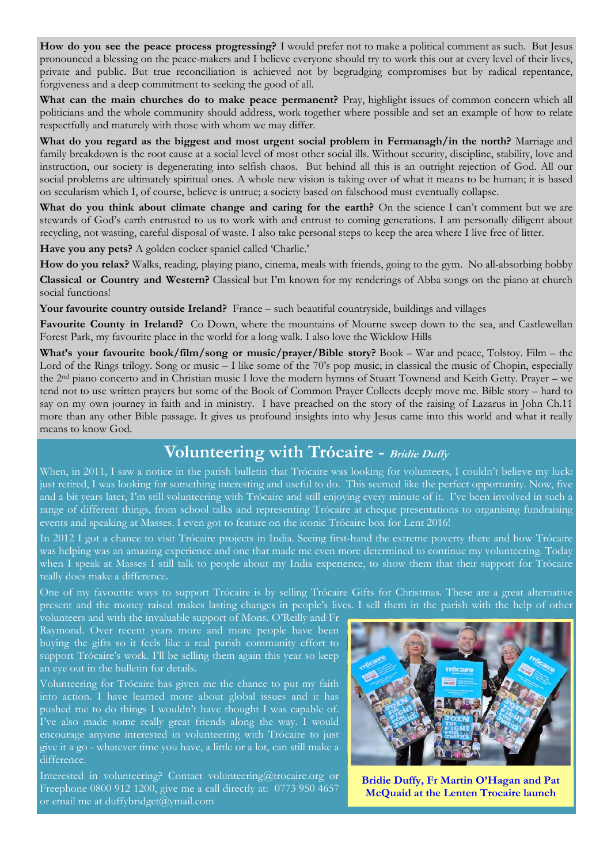**How do you see the peace process progressing?** I would prefer not to make a political comment as such. But Jesus pronounced a blessing on the peace-makers and I believe everyone should try to work this out at every level of their lives, private and public. But true reconciliation is achieved not by begrudging compromises but by radical repentance, forgiveness and a deep commitment to seeking the good of all.

**What can the main churches do to make peace permanent?** Pray, highlight issues of common concern which all politicians and the whole community should address, work together where possible and set an example of how to relate respectfully and maturely with those with whom we may differ.

What do you regard as the biggest and most urgent social problem in Fermanagh/in the north? Marriage and family breakdown is the root cause at a social level of most other social ills. Without security, discipline, stability, love and instruction, our society is degenerating into selfish chaos. But behind all this is an outright rejection of God. All our social problems are ultimately spiritual ones. A whole new vision is taking over of what it means to be human; it is based on secularism which I, of course, believe is untrue; a society based on falsehood must eventually collapse.

What do you think about climate change and caring for the earth? On the science I can't comment but we are stewards of God's earth entrusted to us to work with and entrust to coming generations. I am personally diligent about recycling, not wasting, careful disposal of waste. I also take personal steps to keep the area where I live free of litter.

**Have you any pets?** A golden cocker spaniel called 'Charlie.'

**How do you relax?** Walks, reading, playing piano, cinema, meals with friends, going to the gym. No all-absorbing hobby

**Classical or Country and Western?** Classical but I'm known for my renderings of Abba songs on the piano at church social functions!

**Your favourite country outside Ireland?** France – such beautiful countryside, buildings and villages

**Favourite County in Ireland?** Co Down, where the mountains of Mourne sweep down to the sea, and Castlewellan Forest Park, my favourite place in the world for a long walk. I also love the Wicklow Hills

**What's your favourite book/film/song or music/prayer/Bible story?** Book – War and peace, Tolstoy. Film – the Lord of the Rings trilogy. Song or music – I like some of the 70's pop music; in classical the music of Chopin, especially the 2nd piano concerto and in Christian music I love the modern hymns of Stuart Townend and Keith Getty. Prayer – we tend not to use written prayers but some of the Book of Common Prayer Collects deeply move me. Bible story – hard to say on my own journey in faith and in ministry. I have preached on the story of the raising of Lazarus in John Ch.11 more than any other Bible passage. It gives us profound insights into why Jesus came into this world and what it really means to know God.

## **Volunteering with Trócaire - Bridie Duffy**

When, in 2011, I saw a notice in the parish bulletin that Trócaire was looking for volunteers, I couldn't believe my luck: just retired, I was looking for something interesting and useful to do. This seemed like the perfect opportunity. Now, five and a bit years later, I'm still volunteering with Trócaire and still enjoying every minute of it. I've been involved in such a range of different things, from school talks and representing Trócaire at cheque presentations to organising fundraising events and speaking at Masses. I even got to feature on the iconic Trócaire box for Lent 2016!

In 2012 I got a chance to visit Trócaire projects in India. Seeing first-hand the extreme poverty there and how Trócaire was helping was an amazing experience and one that made me even more determined to continue my volunteering. Today when I speak at Masses I still talk to people about my India experience, to show them that their support for Trócaire really does make a difference.

One of my favourite ways to support Trócaire is by selling Trócaire Gifts for Christmas. These are a great alternative present and the money raised makes lasting changes in people's lives. I sell them in the parish with the help of other

volunteers and with the invaluable support of Mons. O'Reilly and Fr Raymond. Over recent years more and more people have been buying the gifts so it feels like a real parish community effort to support Trócaire's work. I'll be selling them again this year so keep an eye out in the bulletin for details.

Volunteering for Trócaire has given me the chance to put my faith into action. I have learned more about global issues and it has pushed me to do things I wouldn't have thought I was capable of. I've also made some really great friends along the way. I would encourage anyone interested in volunteering with Trócaire to just give it a go - whatever time you have, a little or a lot, can still make a difference.

Interested in volunteering? Contact volunteering@trocaire.org or Freephone 0800 912 1200, give me a call directly at: 0773 950 4657 or email me at duffybridget@ymail.com



**Bridie Duffy, Fr Martin O'Hagan and Pat McQuaid at the Lenten Trocaire launch**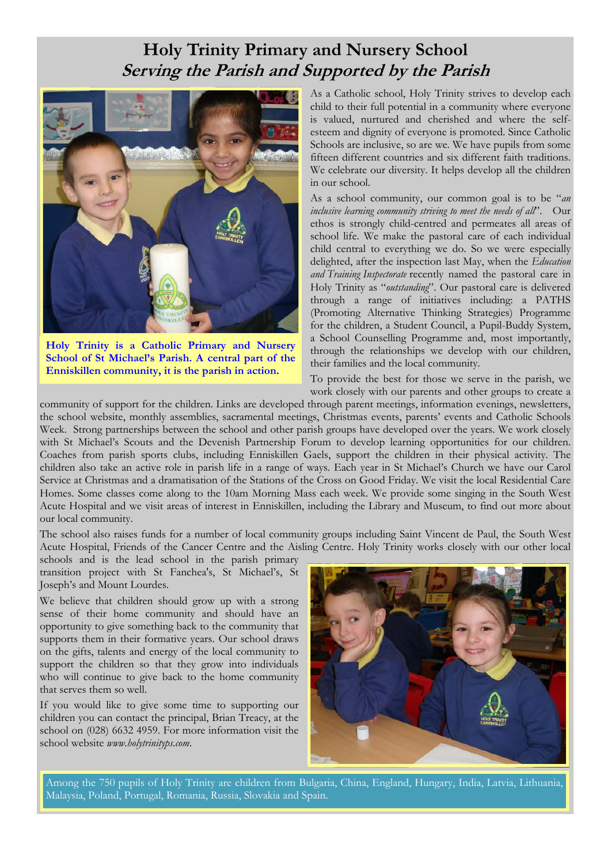# **Holy Trinity Primary and Nursery School Serving the Parish and Supported by the Parish**



**Holy Trinity is a Catholic Primary and Nursery School of St Michael's Parish. A central part of the Enniskillen community, it is the parish in action.** 

As a Catholic school, Holy Trinity strives to develop each child to their full potential in a community where everyone is valued, nurtured and cherished and where the selfesteem and dignity of everyone is promoted. Since Catholic Schools are inclusive, so are we. We have pupils from some fifteen different countries and six different faith traditions. We celebrate our diversity. It helps develop all the children in our school.

As a school community, our common goal is to be "*an inclusive learning community striving to meet the needs of all*". Our ethos is strongly child-centred and permeates all areas of school life. We make the pastoral care of each individual child central to everything we do. So we were especially delighted, after the inspection last May, when the *Education and Training Inspectorate* recently named the pastoral care in Holy Trinity as "*outstanding*". Our pastoral care is delivered through a range of initiatives including: a PATHS (Promoting Alternative Thinking Strategies) Programme for the children, a Student Council, a Pupil-Buddy System, a School Counselling Programme and, most importantly, through the relationships we develop with our children, their families and the local community.

To provide the best for those we serve in the parish, we work closely with our parents and other groups to create a

community of support for the children. Links are developed through parent meetings, information evenings, newsletters, the school website, monthly assemblies, sacramental meetings, Christmas events, parents' events and Catholic Schools Week. Strong partnerships between the school and other parish groups have developed over the years. We work closely with St Michael's Scouts and the Devenish Partnership Forum to develop learning opportunities for our children. Coaches from parish sports clubs, including Enniskillen Gaels, support the children in their physical activity. The children also take an active role in parish life in a range of ways. Each year in St Michael's Church we have our Carol Service at Christmas and a dramatisation of the Stations of the Cross on Good Friday. We visit the local Residential Care Homes. Some classes come along to the 10am Morning Mass each week. We provide some singing in the South West Acute Hospital and we visit areas of interest in Enniskillen, including the Library and Museum, to find out more about our local community.

The school also raises funds for a number of local community groups including Saint Vincent de Paul, the South West Acute Hospital, Friends of the Cancer Centre and the Aisling Centre. Holy Trinity works closely with our other local

schools and is the lead school in the parish primary transition project with St Fanchea's, St Michael's, St Joseph's and Mount Lourdes.

We believe that children should grow up with a strong sense of their home community and should have an opportunity to give something back to the community that supports them in their formative years. Our school draws on the gifts, talents and energy of the local community to support the children so that they grow into individuals who will continue to give back to the home community that serves them so well.

If you would like to give some time to supporting our children you can contact the principal, Brian Treacy, at the school on (028) 6632 4959. For more information visit the school website *www.holytrinityps.com*.



Among the 750 pupils of Holy Trinity are children from Bulgaria, China, England, Hungary, India, Latvia, Lithuania, Malaysia, Poland, Portugal, Romania, Russia, Slovakia and Spain.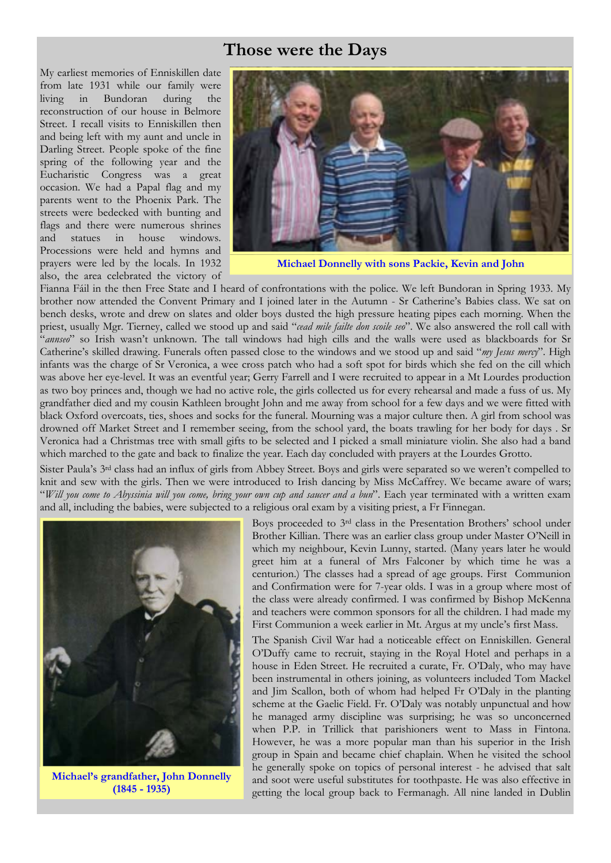### **Those were the Days**

My earliest memories of Enniskillen date from late 1931 while our family were living in Bundoran during the reconstruction of our house in Belmore Street. I recall visits to Enniskillen then and being left with my aunt and uncle in Darling Street. People spoke of the fine spring of the following year and the Eucharistic Congress was a great occasion. We had a Papal flag and my parents went to the Phoenix Park. The streets were bedecked with bunting and flags and there were numerous shrines and statues in house windows. Processions were held and hymns and prayers were led by the locals. In 1932 also, the area celebrated the victory of



**Michael Donnelly with sons Packie, Kevin and John** 

Fianna Fáil in the then Free State and I heard of confrontations with the police. We left Bundoran in Spring 1933. My brother now attended the Convent Primary and I joined later in the Autumn - Sr Catherine's Babies class. We sat on bench desks, wrote and drew on slates and older boys dusted the high pressure heating pipes each morning. When the priest, usually Mgr. Tierney, called we stood up and said "*cead mile failte don scoile seo*". We also answered the roll call with "*annseo*" so Irish wasn't unknown. The tall windows had high cills and the walls were used as blackboards for Sr Catherine's skilled drawing. Funerals often passed close to the windows and we stood up and said "*my Jesus mercy*". High infants was the charge of Sr Veronica, a wee cross patch who had a soft spot for birds which she fed on the cill which was above her eye-level. It was an eventful year; Gerry Farrell and I were recruited to appear in a Mt Lourdes production as two boy princes and, though we had no active role, the girls collected us for every rehearsal and made a fuss of us. My grandfather died and my cousin Kathleen brought John and me away from school for a few days and we were fitted with black Oxford overcoats, ties, shoes and socks for the funeral. Mourning was a major culture then. A girl from school was drowned off Market Street and I remember seeing, from the school yard, the boats trawling for her body for days . Sr Veronica had a Christmas tree with small gifts to be selected and I picked a small miniature violin. She also had a band which marched to the gate and back to finalize the year. Each day concluded with prayers at the Lourdes Grotto.

Sister Paula's 3rd class had an influx of girls from Abbey Street. Boys and girls were separated so we weren't compelled to knit and sew with the girls. Then we were introduced to Irish dancing by Miss McCaffrey. We became aware of wars; "*Will you come to Abyssinia will you come, bring your own cup and saucer and a bun*". Each year terminated with a written exam and all, including the babies, were subjected to a religious oral exam by a visiting priest, a Fr Finnegan.



**Michael's grandfather, John Donnelly (1845 - 1935)** 

Boys proceeded to 3rd class in the Presentation Brothers' school under Brother Killian. There was an earlier class group under Master O'Neill in which my neighbour, Kevin Lunny, started. (Many years later he would greet him at a funeral of Mrs Falconer by which time he was a centurion.) The classes had a spread of age groups. First Communion and Confirmation were for 7-year olds. I was in a group where most of the class were already confirmed. I was confirmed by Bishop McKenna and teachers were common sponsors for all the children. I had made my First Communion a week earlier in Mt. Argus at my uncle's first Mass.

The Spanish Civil War had a noticeable effect on Enniskillen. General O'Duffy came to recruit, staying in the Royal Hotel and perhaps in a house in Eden Street. He recruited a curate, Fr. O'Daly, who may have been instrumental in others joining, as volunteers included Tom Mackel and Jim Scallon, both of whom had helped Fr O'Daly in the planting scheme at the Gaelic Field. Fr. O'Daly was notably unpunctual and how he managed army discipline was surprising; he was so unconcerned when P.P. in Trillick that parishioners went to Mass in Fintona. However, he was a more popular man than his superior in the Irish group in Spain and became chief chaplain. When he visited the school he generally spoke on topics of personal interest - he advised that salt and soot were useful substitutes for toothpaste. He was also effective in getting the local group back to Fermanagh. All nine landed in Dublin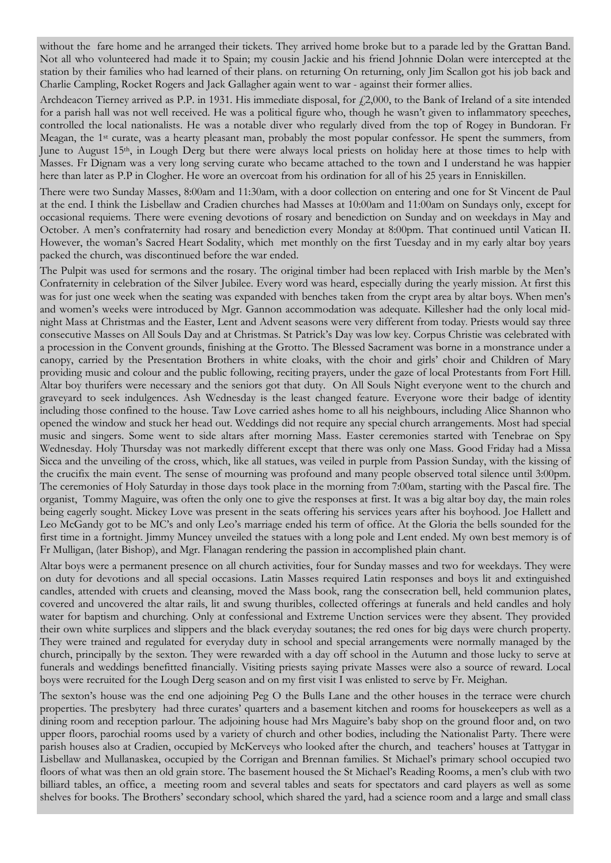without the fare home and he arranged their tickets. They arrived home broke but to a parade led by the Grattan Band. Not all who volunteered had made it to Spain; my cousin Jackie and his friend Johnnie Dolan were intercepted at the station by their families who had learned of their plans. on returning On returning, only Jim Scallon got his job back and Charlie Campling, Rocket Rogers and Jack Gallagher again went to war - against their former allies.

Archdeacon Tierney arrived as P.P. in 1931. His immediate disposal, for  $f2,000$ , to the Bank of Ireland of a site intended for a parish hall was not well received. He was a political figure who, though he wasn't given to inflammatory speeches, controlled the local nationalists. He was a notable diver who regularly dived from the top of Rogey in Bundoran. Fr Meagan, the 1st curate, was a hearty pleasant man, probably the most popular confessor. He spent the summers, from June to August 15th, in Lough Derg but there were always local priests on holiday here at those times to help with Masses. Fr Dignam was a very long serving curate who became attached to the town and I understand he was happier here than later as P.P in Clogher. He wore an overcoat from his ordination for all of his 25 years in Enniskillen.

There were two Sunday Masses, 8:00am and 11:30am, with a door collection on entering and one for St Vincent de Paul at the end. I think the Lisbellaw and Cradien churches had Masses at 10:00am and 11:00am on Sundays only, except for occasional requiems. There were evening devotions of rosary and benediction on Sunday and on weekdays in May and October. A men's confraternity had rosary and benediction every Monday at 8:00pm. That continued until Vatican II. However, the woman's Sacred Heart Sodality, which met monthly on the first Tuesday and in my early altar boy years packed the church, was discontinued before the war ended.

The Pulpit was used for sermons and the rosary. The original timber had been replaced with Irish marble by the Men's Confraternity in celebration of the Silver Jubilee. Every word was heard, especially during the yearly mission. At first this was for just one week when the seating was expanded with benches taken from the crypt area by altar boys. When men's and women's weeks were introduced by Mgr. Gannon accommodation was adequate. Killesher had the only local midnight Mass at Christmas and the Easter, Lent and Advent seasons were very different from today. Priests would say three consecutive Masses on All Souls Day and at Christmas. St Patrick's Day was low key. Corpus Christie was celebrated with a procession in the Convent grounds, finishing at the Grotto. The Blessed Sacrament was borne in a monstrance under a canopy, carried by the Presentation Brothers in white cloaks, with the choir and girls' choir and Children of Mary providing music and colour and the public following, reciting prayers, under the gaze of local Protestants from Fort Hill. Altar boy thurifers were necessary and the seniors got that duty. On All Souls Night everyone went to the church and graveyard to seek indulgences. Ash Wednesday is the least changed feature. Everyone wore their badge of identity including those confined to the house. Taw Love carried ashes home to all his neighbours, including Alice Shannon who opened the window and stuck her head out. Weddings did not require any special church arrangements. Most had special music and singers. Some went to side altars after morning Mass. Easter ceremonies started with Tenebrae on Spy Wednesday. Holy Thursday was not markedly different except that there was only one Mass. Good Friday had a Missa Sicca and the unveiling of the cross, which, like all statues, was veiled in purple from Passion Sunday, with the kissing of the crucifix the main event. The sense of mourning was profound and many people observed total silence until 3:00pm. The ceremonies of Holy Saturday in those days took place in the morning from 7:00am, starting with the Pascal fire. The organist, Tommy Maguire, was often the only one to give the responses at first. It was a big altar boy day, the main roles being eagerly sought. Mickey Love was present in the seats offering his services years after his boyhood. Joe Hallett and Leo McGandy got to be MC's and only Leo's marriage ended his term of office. At the Gloria the bells sounded for the first time in a fortnight. Jimmy Muncey unveiled the statues with a long pole and Lent ended. My own best memory is of Fr Mulligan, (later Bishop), and Mgr. Flanagan rendering the passion in accomplished plain chant.

Altar boys were a permanent presence on all church activities, four for Sunday masses and two for weekdays. They were on duty for devotions and all special occasions. Latin Masses required Latin responses and boys lit and extinguished candles, attended with cruets and cleansing, moved the Mass book, rang the consecration bell, held communion plates, covered and uncovered the altar rails, lit and swung thuribles, collected offerings at funerals and held candles and holy water for baptism and churching. Only at confessional and Extreme Unction services were they absent. They provided their own white surplices and slippers and the black everyday soutanes; the red ones for big days were church property. They were trained and regulated for everyday duty in school and special arrangements were normally managed by the church, principally by the sexton. They were rewarded with a day off school in the Autumn and those lucky to serve at funerals and weddings benefitted financially. Visiting priests saying private Masses were also a source of reward. Local boys were recruited for the Lough Derg season and on my first visit I was enlisted to serve by Fr. Meighan.

The sexton's house was the end one adjoining Peg O the Bulls Lane and the other houses in the terrace were church properties. The presbytery had three curates' quarters and a basement kitchen and rooms for housekeepers as well as a dining room and reception parlour. The adjoining house had Mrs Maguire's baby shop on the ground floor and, on two upper floors, parochial rooms used by a variety of church and other bodies, including the Nationalist Party. There were parish houses also at Cradien, occupied by McKerveys who looked after the church, and teachers' houses at Tattygar in Lisbellaw and Mullanaskea, occupied by the Corrigan and Brennan families. St Michael's primary school occupied two floors of what was then an old grain store. The basement housed the St Michael's Reading Rooms, a men's club with two billiard tables, an office, a meeting room and several tables and seats for spectators and card players as well as some shelves for books. The Brothers' secondary school, which shared the yard, had a science room and a large and small class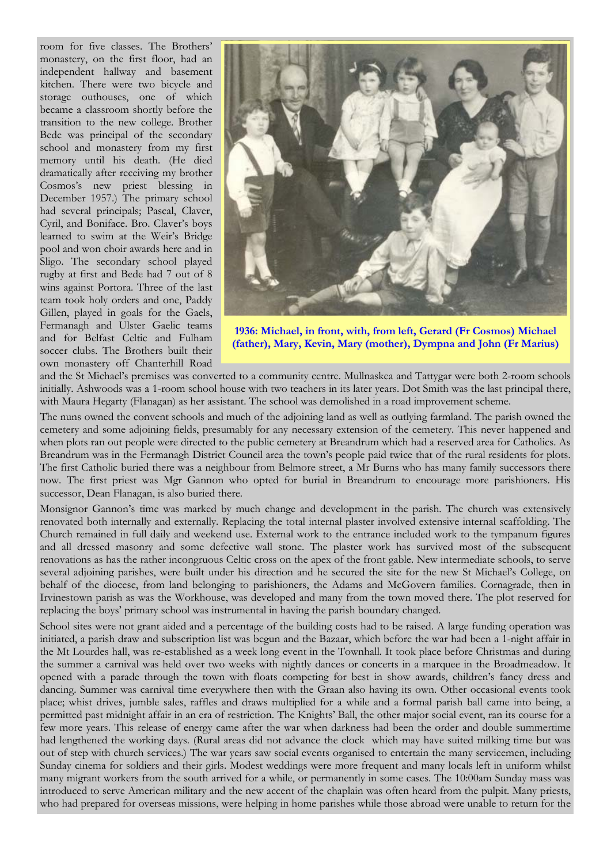room for five classes. The Brothers' monastery, on the first floor, had an independent hallway and basement kitchen. There were two bicycle and storage outhouses, one of which became a classroom shortly before the transition to the new college. Brother Bede was principal of the secondary school and monastery from my first memory until his death. (He died dramatically after receiving my brother Cosmos's new priest blessing in December 1957.) The primary school had several principals; Pascal, Claver, Cyril, and Boniface. Bro. Claver's boys learned to swim at the Weir's Bridge pool and won choir awards here and in Sligo. The secondary school played rugby at first and Bede had 7 out of 8 wins against Portora. Three of the last team took holy orders and one, Paddy Gillen, played in goals for the Gaels, Fermanagh and Ulster Gaelic teams and for Belfast Celtic and Fulham soccer clubs. The Brothers built their own monastery off Chanterhill Road



**1936: Michael, in front, with, from left, Gerard (Fr Cosmos) Michael (father), Mary, Kevin, Mary (mother), Dympna and John (Fr Marius)**

and the St Michael's premises was converted to a community centre. Mullnaskea and Tattygar were both 2-room schools initially. Ashwoods was a 1-room school house with two teachers in its later years. Dot Smith was the last principal there, with Maura Hegarty (Flanagan) as her assistant. The school was demolished in a road improvement scheme.

The nuns owned the convent schools and much of the adjoining land as well as outlying farmland. The parish owned the cemetery and some adjoining fields, presumably for any necessary extension of the cemetery. This never happened and when plots ran out people were directed to the public cemetery at Breandrum which had a reserved area for Catholics. As Breandrum was in the Fermanagh District Council area the town's people paid twice that of the rural residents for plots. The first Catholic buried there was a neighbour from Belmore street, a Mr Burns who has many family successors there now. The first priest was Mgr Gannon who opted for burial in Breandrum to encourage more parishioners. His successor, Dean Flanagan, is also buried there.

Monsignor Gannon's time was marked by much change and development in the parish. The church was extensively renovated both internally and externally. Replacing the total internal plaster involved extensive internal scaffolding. The Church remained in full daily and weekend use. External work to the entrance included work to the tympanum figures and all dressed masonry and some defective wall stone. The plaster work has survived most of the subsequent renovations as has the rather incongruous Celtic cross on the apex of the front gable. New intermediate schools, to serve several adjoining parishes, were built under his direction and he secured the site for the new St Michael's College, on behalf of the diocese, from land belonging to parishioners, the Adams and McGovern families. Cornagrade, then in Irvinestown parish as was the Workhouse, was developed and many from the town moved there. The plot reserved for replacing the boys' primary school was instrumental in having the parish boundary changed.

School sites were not grant aided and a percentage of the building costs had to be raised. A large funding operation was initiated, a parish draw and subscription list was begun and the Bazaar, which before the war had been a 1-night affair in the Mt Lourdes hall, was re-established as a week long event in the Townhall. It took place before Christmas and during the summer a carnival was held over two weeks with nightly dances or concerts in a marquee in the Broadmeadow. It opened with a parade through the town with floats competing for best in show awards, children's fancy dress and dancing. Summer was carnival time everywhere then with the Graan also having its own. Other occasional events took place; whist drives, jumble sales, raffles and draws multiplied for a while and a formal parish ball came into being, a permitted past midnight affair in an era of restriction. The Knights' Ball, the other major social event, ran its course for a few more years. This release of energy came after the war when darkness had been the order and double summertime had lengthened the working days. (Rural areas did not advance the clock which may have suited milking time but was out of step with church services.) The war years saw social events organised to entertain the many servicemen, including Sunday cinema for soldiers and their girls. Modest weddings were more frequent and many locals left in uniform whilst many migrant workers from the south arrived for a while, or permanently in some cases. The 10:00am Sunday mass was introduced to serve American military and the new accent of the chaplain was often heard from the pulpit. Many priests, who had prepared for overseas missions, were helping in home parishes while those abroad were unable to return for the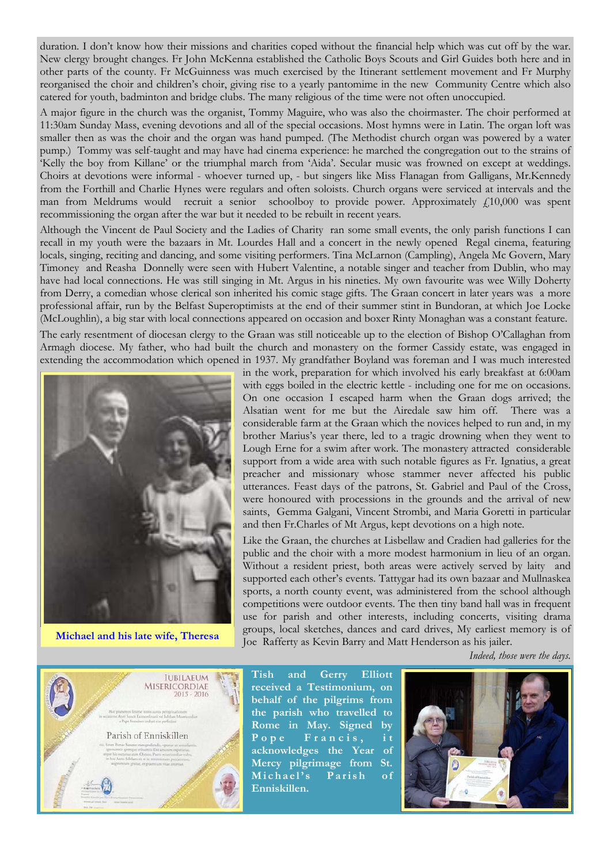duration. I don't know how their missions and charities coped without the financial help which was cut off by the war. New clergy brought changes. Fr John McKenna established the Catholic Boys Scouts and Girl Guides both here and in other parts of the county. Fr McGuinness was much exercised by the Itinerant settlement movement and Fr Murphy reorganised the choir and children's choir, giving rise to a yearly pantomime in the new Community Centre which also catered for youth, badminton and bridge clubs. The many religious of the time were not often unoccupied.

A major figure in the church was the organist, Tommy Maguire, who was also the choirmaster. The choir performed at 11:30am Sunday Mass, evening devotions and all of the special occasions. Most hymns were in Latin. The organ loft was smaller then as was the choir and the organ was hand pumped. (The Methodist church organ was powered by a water pump.) Tommy was self-taught and may have had cinema experience: he marched the congregation out to the strains of 'Kelly the boy from Killane' or the triumphal march from 'Aida'. Secular music was frowned on except at weddings. Choirs at devotions were informal - whoever turned up, - but singers like Miss Flanagan from Galligans, Mr.Kennedy from the Forthill and Charlie Hynes were regulars and often soloists. Church organs were serviced at intervals and the man from Meldrums would recruit a senior schoolboy to provide power. Approximately  $f_1(10,000)$  was spent recommissioning the organ after the war but it needed to be rebuilt in recent years.

Although the Vincent de Paul Society and the Ladies of Charity ran some small events, the only parish functions I can recall in my youth were the bazaars in Mt. Lourdes Hall and a concert in the newly opened Regal cinema, featuring locals, singing, reciting and dancing, and some visiting performers. Tina McLarnon (Campling), Angela Mc Govern, Mary Timoney and Reasha Donnelly were seen with Hubert Valentine, a notable singer and teacher from Dublin, who may have had local connections. He was still singing in Mt. Argus in his nineties. My own favourite was wee Willy Doherty from Derry, a comedian whose clerical son inherited his comic stage gifts. The Graan concert in later years was a more professional affair, run by the Belfast Superoptimists at the end of their summer stint in Bundoran, at which Joe Locke (McLoughlin), a big star with local connections appeared on occasion and boxer Rinty Monaghan was a constant feature.

The early resentment of diocesan clergy to the Graan was still noticeable up to the election of Bishop O'Callaghan from Armagh diocese. My father, who had built the church and monastery on the former Cassidy estate, was engaged in extending the accommodation which opened in 1937. My grandfather Boyland was foreman and I was much interested



**Michael and his late wife, Theresa** 

in the work, preparation for which involved his early breakfast at 6:00am with eggs boiled in the electric kettle - including one for me on occasions. On one occasion I escaped harm when the Graan dogs arrived; the Alsatian went for me but the Airedale saw him off. There was a considerable farm at the Graan which the novices helped to run and, in my brother Marius's year there, led to a tragic drowning when they went to Lough Erne for a swim after work. The monastery attracted considerable support from a wide area with such notable figures as Fr. Ignatius, a great preacher and missionary whose stammer never affected his public utterances. Feast days of the patrons, St. Gabriel and Paul of the Cross, were honoured with processions in the grounds and the arrival of new saints, Gemma Galgani, Vincent Strombi, and Maria Goretti in particular and then Fr.Charles of Mt Argus, kept devotions on a high note.

Like the Graan, the churches at Lisbellaw and Cradien had galleries for the public and the choir with a more modest harmonium in lieu of an organ. Without a resident priest, both areas were actively served by laity and supported each other's events. Tattygar had its own bazaar and Mullnaskea sports, a north county event, was administered from the school although competitions were outdoor events. The then tiny band hall was in frequent use for parish and other interests, including concerts, visiting drama groups, local sketches, dances and card drives, My earliest memory is of Joe Rafferty as Kevin Barry and Matt Henderson as his jailer.

*Indeed, those were the days.* 



**Tish and Gerry Elliott received a Testimonium, on behalf of the pilgrims from the parish who travelled to Rome in May. Signed by**  Pope Francis, it **acknowledges the Year of Mercy pilgrimage from St.**  Michael's Parish of **Enniskillen.** 

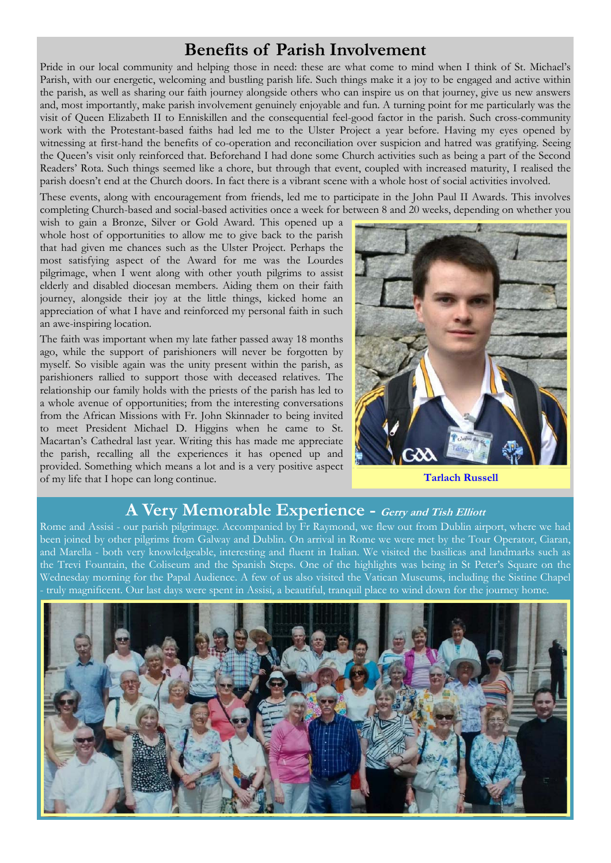# **Benefits of Parish Involvement**

Pride in our local community and helping those in need: these are what come to mind when I think of St. Michael's Parish, with our energetic, welcoming and bustling parish life. Such things make it a joy to be engaged and active within the parish, as well as sharing our faith journey alongside others who can inspire us on that journey, give us new answers and, most importantly, make parish involvement genuinely enjoyable and fun. A turning point for me particularly was the visit of Queen Elizabeth II to Enniskillen and the consequential feel-good factor in the parish. Such cross-community work with the Protestant-based faiths had led me to the Ulster Project a year before. Having my eyes opened by witnessing at first-hand the benefits of co-operation and reconciliation over suspicion and hatred was gratifying. Seeing the Queen's visit only reinforced that. Beforehand I had done some Church activities such as being a part of the Second Readers' Rota. Such things seemed like a chore, but through that event, coupled with increased maturity, I realised the parish doesn't end at the Church doors. In fact there is a vibrant scene with a whole host of social activities involved.

These events, along with encouragement from friends, led me to participate in the John Paul II Awards. This involves completing Church-based and social-based activities once a week for between 8 and 20 weeks, depending on whether you

wish to gain a Bronze, Silver or Gold Award. This opened up a whole host of opportunities to allow me to give back to the parish that had given me chances such as the Ulster Project. Perhaps the most satisfying aspect of the Award for me was the Lourdes pilgrimage, when I went along with other youth pilgrims to assist elderly and disabled diocesan members. Aiding them on their faith journey, alongside their joy at the little things, kicked home an appreciation of what I have and reinforced my personal faith in such an awe-inspiring location.

The faith was important when my late father passed away 18 months ago, while the support of parishioners will never be forgotten by myself. So visible again was the unity present within the parish, as parishioners rallied to support those with deceased relatives. The relationship our family holds with the priests of the parish has led to a whole avenue of opportunities; from the interesting conversations from the African Missions with Fr. John Skinnader to being invited to meet President Michael D. Higgins when he came to St. Macartan's Cathedral last year. Writing this has made me appreciate the parish, recalling all the experiences it has opened up and provided. Something which means a lot and is a very positive aspect of my life that I hope can long continue. **Tarlach Russell** 



#### **A Very Memorable Experience - Gerry and Tish Elliott**

Rome and Assisi - our parish pilgrimage. Accompanied by Fr Raymond, we flew out from Dublin airport, where we had been joined by other pilgrims from Galway and Dublin. On arrival in Rome we were met by the Tour Operator, Ciaran, and Marella - both very knowledgeable, interesting and fluent in Italian. We visited the basilicas and landmarks such as the Trevi Fountain, the Coliseum and the Spanish Steps. One of the highlights was being in St Peter's Square on the Wednesday morning for the Papal Audience. A few of us also visited the Vatican Museums, including the Sistine Chapel - truly magnificent. Our last days were spent in Assisi, a beautiful, tranquil place to wind down for the journey home.

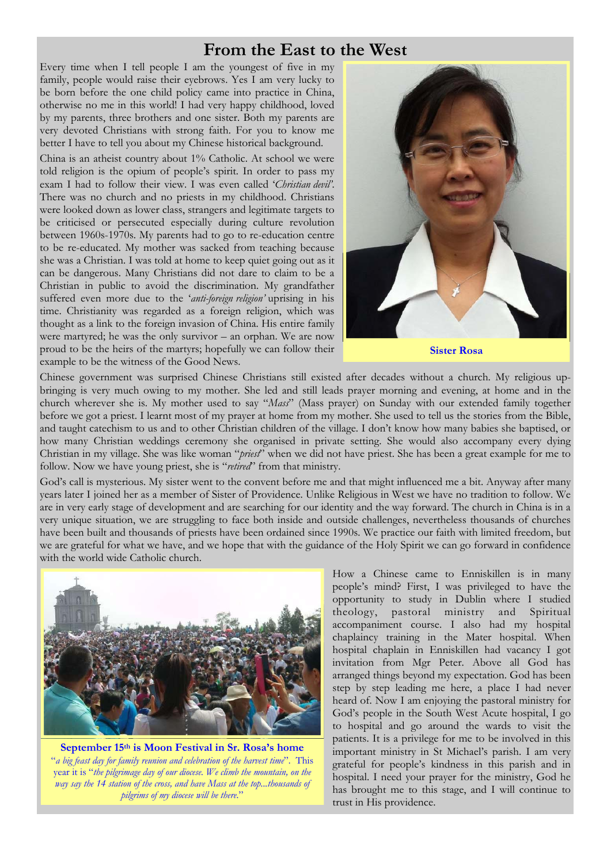#### **From the East to the West**

Every time when I tell people I am the youngest of five in my family, people would raise their eyebrows. Yes I am very lucky to be born before the one child policy came into practice in China, otherwise no me in this world! I had very happy childhood, loved by my parents, three brothers and one sister. Both my parents are very devoted Christians with strong faith. For you to know me better I have to tell you about my Chinese historical background.

China is an atheist country about 1% Catholic. At school we were told religion is the opium of people's spirit. In order to pass my exam I had to follow their view. I was even called '*Christian devil'*. There was no church and no priests in my childhood. Christians were looked down as lower class, strangers and legitimate targets to be criticised or persecuted especially during culture revolution between 1960s-1970s. My parents had to go to re-education centre to be re-educated. My mother was sacked from teaching because she was a Christian. I was told at home to keep quiet going out as it can be dangerous. Many Christians did not dare to claim to be a Christian in public to avoid the discrimination. My grandfather suffered even more due to the '*anti-foreign religion'* uprising in his time. Christianity was regarded as a foreign religion, which was thought as a link to the foreign invasion of China. His entire family were martyred; he was the only survivor – an orphan. We are now proud to be the heirs of the martyrs; hopefully we can follow their example to be the witness of the Good News.



**Sister Rosa** 

Chinese government was surprised Chinese Christians still existed after decades without a church. My religious upbringing is very much owing to my mother. She led and still leads prayer morning and evening, at home and in the church wherever she is. My mother used to say "*Mass*" (Mass prayer) on Sunday with our extended family together before we got a priest. I learnt most of my prayer at home from my mother. She used to tell us the stories from the Bible, and taught catechism to us and to other Christian children of the village. I don't know how many babies she baptised, or how many Christian weddings ceremony she organised in private setting. She would also accompany every dying Christian in my village. She was like woman "*priest*" when we did not have priest. She has been a great example for me to follow. Now we have young priest, she is "*retired*" from that ministry.

God's call is mysterious. My sister went to the convent before me and that might influenced me a bit. Anyway after many years later I joined her as a member of Sister of Providence. Unlike Religious in West we have no tradition to follow. We are in very early stage of development and are searching for our identity and the way forward. The church in China is in a very unique situation, we are struggling to face both inside and outside challenges, nevertheless thousands of churches have been built and thousands of priests have been ordained since 1990s. We practice our faith with limited freedom, but we are grateful for what we have, and we hope that with the guidance of the Holy Spirit we can go forward in confidence with the world wide Catholic church.



**September 15th is Moon Festival in Sr. Rosa's home**  "*a big feast day for family reunion and celebration of the harvest time*". This year it is "*the pilgrimage day of our diocese. We climb the mountain, on the way say the 14 station of the cross, and have Mass at the top...thousands of pilgrims of my diocese will be there*."

How a Chinese came to Enniskillen is in many people's mind? First, I was privileged to have the opportunity to study in Dublin where I studied theology, pastoral ministry and Spiritual accompaniment course. I also had my hospital chaplaincy training in the Mater hospital. When hospital chaplain in Enniskillen had vacancy I got invitation from Mgr Peter. Above all God has arranged things beyond my expectation. God has been step by step leading me here, a place I had never heard of. Now I am enjoying the pastoral ministry for God's people in the South West Acute hospital, I go to hospital and go around the wards to visit the patients. It is a privilege for me to be involved in this important ministry in St Michael's parish. I am very grateful for people's kindness in this parish and in hospital. I need your prayer for the ministry, God he has brought me to this stage, and I will continue to trust in His providence.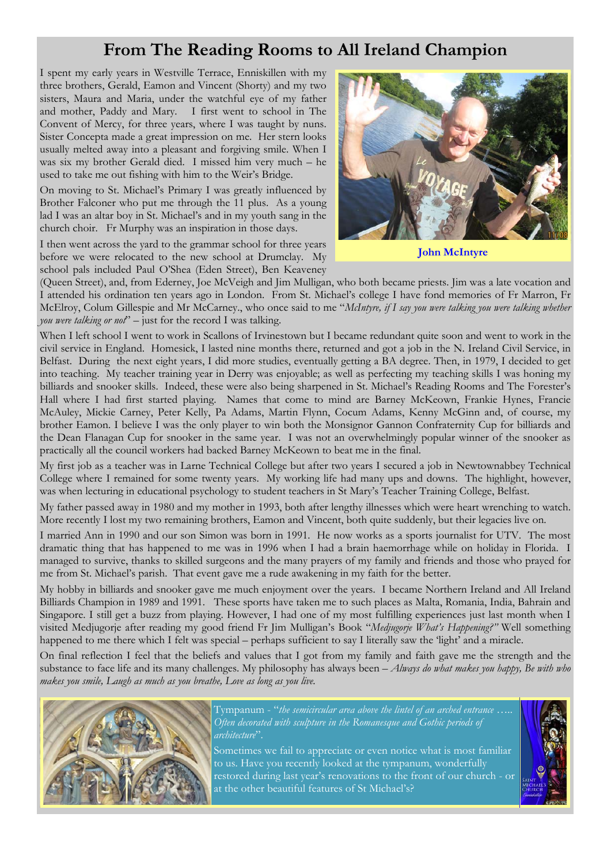# **From The Reading Rooms to All Ireland Champion**

I spent my early years in Westville Terrace, Enniskillen with my three brothers, Gerald, Eamon and Vincent (Shorty) and my two sisters, Maura and Maria, under the watchful eye of my father and mother, Paddy and Mary. I first went to school in The Convent of Mercy, for three years, where I was taught by nuns. Sister Concepta made a great impression on me. Her stern looks usually melted away into a pleasant and forgiving smile. When I was six my brother Gerald died. I missed him very much – he used to take me out fishing with him to the Weir's Bridge.

On moving to St. Michael's Primary I was greatly influenced by Brother Falconer who put me through the 11 plus. As a young lad I was an altar boy in St. Michael's and in my youth sang in the church choir. Fr Murphy was an inspiration in those days.

I then went across the yard to the grammar school for three years before we were relocated to the new school at Drumclay. My school pals included Paul O'Shea (Eden Street), Ben Keaveney



**John McIntyre** 

(Queen Street), and, from Ederney, Joe McVeigh and Jim Mulligan, who both became priests. Jim was a late vocation and I attended his ordination ten years ago in London. From St. Michael's college I have fond memories of Fr Marron, Fr McElroy, Colum Gillespie and Mr McCarney., who once said to me "*McIntyre, if I say you were talking you were talking whether you were talking or not*" – just for the record I was talking.

When I left school I went to work in Scallons of Irvinestown but I became redundant quite soon and went to work in the civil service in England. Homesick, I lasted nine months there, returned and got a job in the N. Ireland Civil Service, in Belfast. During the next eight years, I did more studies, eventually getting a BA degree. Then, in 1979, I decided to get into teaching. My teacher training year in Derry was enjoyable; as well as perfecting my teaching skills I was honing my billiards and snooker skills. Indeed, these were also being sharpened in St. Michael's Reading Rooms and The Forester's Hall where I had first started playing. Names that come to mind are Barney McKeown, Frankie Hynes, Francie McAuley, Mickie Carney, Peter Kelly, Pa Adams, Martin Flynn, Cocum Adams, Kenny McGinn and, of course, my brother Eamon. I believe I was the only player to win both the Monsignor Gannon Confraternity Cup for billiards and the Dean Flanagan Cup for snooker in the same year. I was not an overwhelmingly popular winner of the snooker as practically all the council workers had backed Barney McKeown to beat me in the final.

My first job as a teacher was in Larne Technical College but after two years I secured a job in Newtownabbey Technical College where I remained for some twenty years. My working life had many ups and downs. The highlight, however, was when lecturing in educational psychology to student teachers in St Mary's Teacher Training College, Belfast.

My father passed away in 1980 and my mother in 1993, both after lengthy illnesses which were heart wrenching to watch. More recently I lost my two remaining brothers, Eamon and Vincent, both quite suddenly, but their legacies live on.

I married Ann in 1990 and our son Simon was born in 1991. He now works as a sports journalist for UTV. The most dramatic thing that has happened to me was in 1996 when I had a brain haemorrhage while on holiday in Florida. I managed to survive, thanks to skilled surgeons and the many prayers of my family and friends and those who prayed for me from St. Michael's parish. That event gave me a rude awakening in my faith for the better.

My hobby in billiards and snooker gave me much enjoyment over the years. I became Northern Ireland and All Ireland Billiards Champion in 1989 and 1991. These sports have taken me to such places as Malta, Romania, India, Bahrain and Singapore. I still get a buzz from playing. However, I had one of my most fulfilling experiences just last month when I visited Medjugorje after reading my good friend Fr Jim Mulligan's Book "*Medjugorje What's Happening?"* Well something happened to me there which I felt was special – perhaps sufficient to say I literally saw the 'light' and a miracle.

On final reflection I feel that the beliefs and values that I got from my family and faith gave me the strength and the substance to face life and its many challenges. My philosophy has always been – *Always do what makes you happy, Be with who makes you smile, Laugh as much as you breathe, Love as long as you live*.



Tympanum - "*the semicircular area above the lintel of an arched entrance ….. Often decorated with sculpture in the Romanesque and Gothic periods of architecture*".

Sometimes we fail to appreciate or even notice what is most familiar to us. Have you recently looked at the tympanum, wonderfully restored during last year's renovations to the front of our church - or at the other beautiful features of St Michael's?